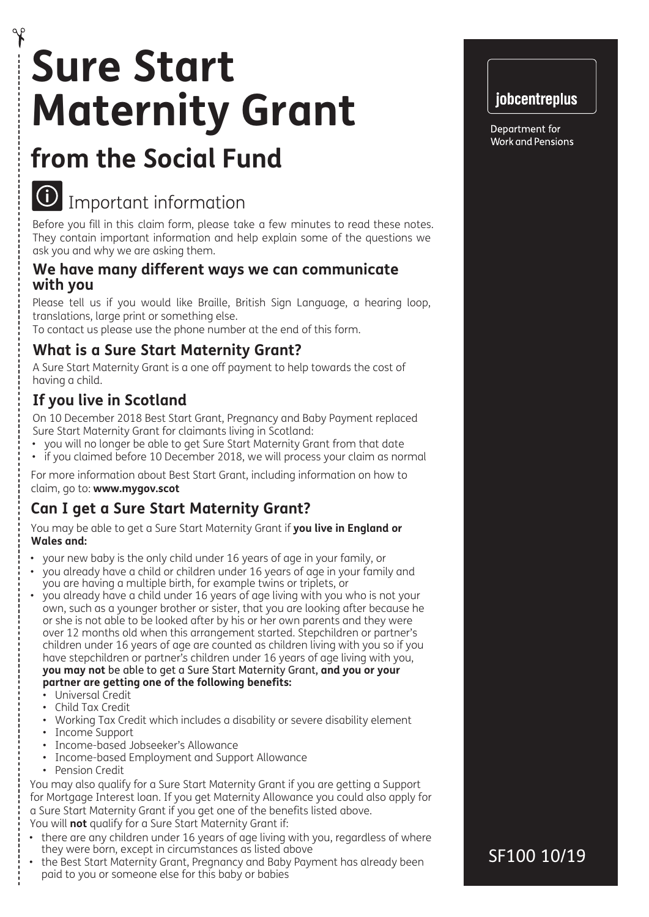# **Sure Start Maternity Grant**

# **from the Social Fund**



# Important information

Before you fill in this claim form, please take a few minutes to read these notes. They contain important information and help explain some of the questions we ask you and why we are asking them.

#### **We have many different ways we can communicate with you**

Please tell us if you would like Braille, British Sign Language, a hearing loop, translations, large print or something else.

To contact us please use the phone number at the end of this form.

## **What is a Sure Start Maternity Grant?**

A Sure Start Maternity Grant is a one off payment to help towards the cost of having a child.

# **If you live in Scotland**

On 10 December 2018 Best Start Grant, Pregnancy and Baby Payment replaced Sure Start Maternity Grant for claimants living in Scotland:

- you will no longer be able to get Sure Start Maternity Grant from that date
- if you claimed before 10 December 2018, we will process your claim as normal

For more information about Best Start Grant, including information on how to claim, go to: **www.mygov.scot**

# **Can I get a Sure Start Maternity Grant?**

You may be able to get a Sure Start Maternity Grant if **you live in England or Wales and:**

- your new baby is the only child under 16 years of age in your family, or
- you already have a child or children under 16 years of age in your family and you are having a multiple birth, for example twins or triplets, or
- you already have a child under 16 years of age living with you who is not your own, such as a younger brother or sister, that you are looking after because he or she is not able to be looked after by his or her own parents and they were over 12 months old when this arrangement started. Stepchildren or partner's children under 16 years of age are counted as children living with you so if you have stepchildren or partner's children under 16 years of age living with you, **you may not** be able to get a Sure Start Maternity Grant, **and you or your**

#### **partner are getting one of the following benefits:**

- Universal Credit
- Child Tax Credit
- Working Tax Credit which includes a disability or severe disability element
- Income Support
- Income-based Jobseeker's Allowance
- Income-based Employment and Support Allowance
- Pension Credit

You may also qualify for a Sure Start Maternity Grant if you are getting a Support for Mortgage Interest loan. If you get Maternity Allowance you could also apply for a Sure Start Maternity Grant if you get one of the benefits listed above. You will **not** qualify for a Sure Start Maternity Grant if:

- there are any children under 16 years of age living with you, regardless of where they were born, except in circumstances as listed above
- the Best Start Maternity Grant, Pregnancy and Baby Payment has already been paid to you or someone else for this baby or babies



Department for **Work and Pensions** 

SF100 10/19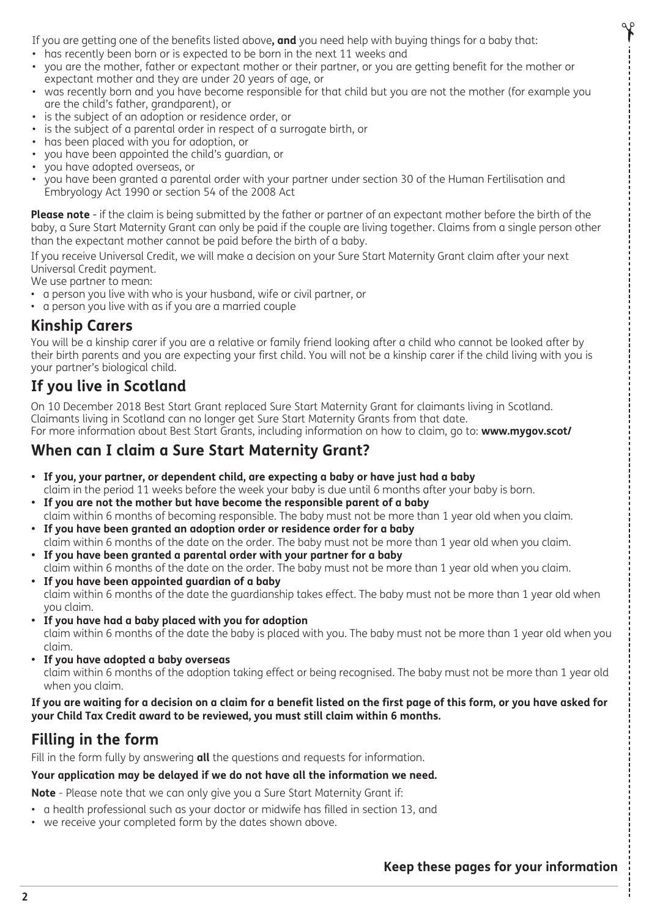If you are getting one of the benefits listed above**, and** you need help with buying things for a baby that:

- has recently been born or is expected to be born in the next 11 weeks and
- you are the mother, father or expectant mother or their partner, or you are getting benefit for the mother or expectant mother and they are under 20 years of age, or
- was recently born and you have become responsible for that child but you are not the mother (for example you are the child's father, grandparent), or
- is the subject of an adoption or residence order, or
- is the subject of a parental order in respect of a surrogate birth, or
- has been placed with you for adoption, or
- you have been appointed the child's guardian, or
- you have adopted overseas, or
- you have been granted a parental order with your partner under section 30 of the Human Fertilisation and Embryology Act 1990 or section 54 of the 2008 Act

**Please note** - if the claim is being submitted by the father or partner of an expectant mother before the birth of the baby, a Sure Start Maternity Grant can only be paid if the couple are living together. Claims from a single person other than the expectant mother cannot be paid before the birth of a baby.

If you receive Universal Credit, we will make a decision on your Sure Start Maternity Grant claim after your next Universal Credit payment.

We use partner to mean:

- a person you live with who is your husband, wife or civil partner, or
- a person you live with as if you are a married couple

#### **Kinship Carers**

You will be a kinship carer if you are a relative or family friend looking after a child who cannot be looked after by their birth parents and you are expecting your first child. You will not be a kinship carer if the child living with you is your partner's biological child.

### **If you live in Scotland**

On 10 December 2018 Best Start Grant replaced Sure Start Maternity Grant for claimants living in Scotland. Claimants living in Scotland can no longer get Sure Start Maternity Grants from that date. For more information about Best Start Grants, including information on how to claim, go to: **www.mygov.scot/**

### **When can I claim a Sure Start Maternity Grant?**

- **• If you, your partner, or dependent child, are expecting a baby or have just had a baby** claim in the period 11 weeks before the week your baby is due until 6 months after your baby is born.
- **• If you are not the mother but have become the responsible parent of a baby** claim within 6 months of becoming responsible. The baby must not be more than 1 year old when you claim.
- **• If you have been granted an adoption order or residence order for a baby** claim within 6 months of the date on the order. The baby must not be more than 1 year old when you claim.
- **• If you have been granted a parental order with your partner for a baby** claim within 6 months of the date on the order. The baby must not be more than 1 year old when you claim.
- **• If you have been appointed guardian of a baby** claim within 6 months of the date the guardianship takes effect. The baby must not be more than 1 year old when you claim.
- **• If you have had a baby placed with you for adoption** claim within 6 months of the date the baby is placed with you. The baby must not be more than 1 year old when you claim.
- **• If you have adopted a baby overseas**

claim within 6 months of the adoption taking effect or being recognised. The baby must not be more than 1 year old when you claim.

**If you are waiting for a decision on a claim for a benefit listed on the first page of this form, or you have asked for your Child Tax Credit award to be reviewed, you must still claim within 6 months.**

# **Filling in the form**

Fill in the form fully by answering **all** the questions and requests for information.

#### **Your application may be delayed if we do not have all the information we need.**

**Note** - Please note that we can only give you a Sure Start Maternity Grant if:

- a health professional such as your doctor or midwife has filled in section 13, and
- we receive your completed form by the dates shown above.

#### **Keep these pages for your information**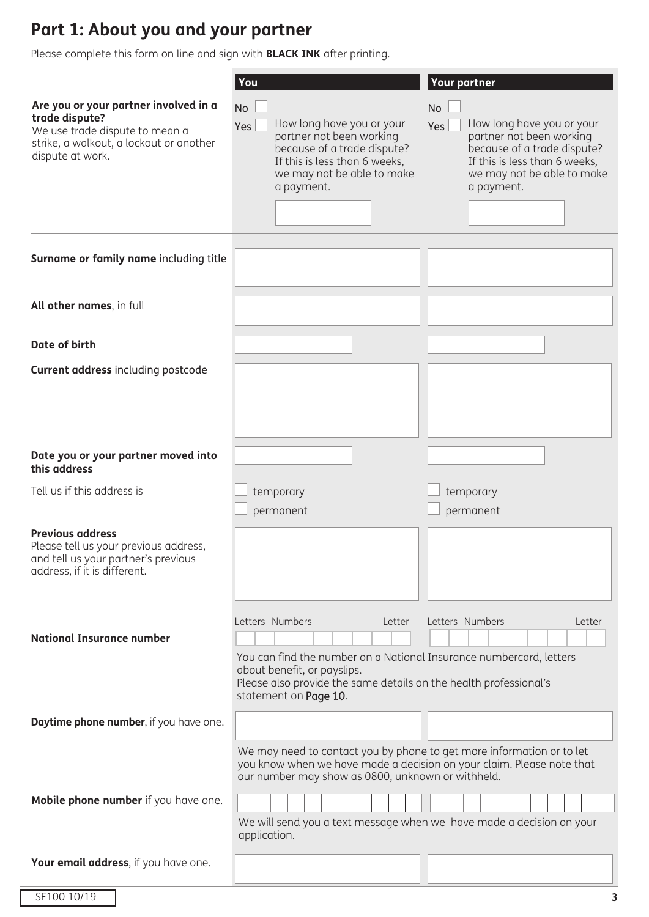# **Part 1: About you and your partner**

Please complete this form on line and sign with **BLACK INK** after printing.

|                                                                                                                                                          | You                                                                                                                                                                                                                                                                                         | <b>Your partner</b>                                                                                                                                                            |
|----------------------------------------------------------------------------------------------------------------------------------------------------------|---------------------------------------------------------------------------------------------------------------------------------------------------------------------------------------------------------------------------------------------------------------------------------------------|--------------------------------------------------------------------------------------------------------------------------------------------------------------------------------|
| Are you or your partner involved in a<br>trade dispute?<br>We use trade dispute to mean a<br>strike, a walkout, a lockout or another<br>dispute at work. | <b>No</b><br>How long have you or your<br>Yes<br>partner not been working<br>because of a trade dispute?<br>If this is less than 6 weeks,<br>we may not be able to make<br>a payment.                                                                                                       | No<br>How long have you or your<br>Yes<br>partner not been working<br>because of a trade dispute?<br>If this is less than 6 weeks,<br>we may not be able to make<br>a payment. |
| Surname or family name including title                                                                                                                   |                                                                                                                                                                                                                                                                                             |                                                                                                                                                                                |
| All other names, in full                                                                                                                                 |                                                                                                                                                                                                                                                                                             |                                                                                                                                                                                |
| Date of birth                                                                                                                                            |                                                                                                                                                                                                                                                                                             |                                                                                                                                                                                |
| <b>Current address including postcode</b>                                                                                                                |                                                                                                                                                                                                                                                                                             |                                                                                                                                                                                |
| Date you or your partner moved into<br>this address                                                                                                      |                                                                                                                                                                                                                                                                                             |                                                                                                                                                                                |
| Tell us if this address is                                                                                                                               | temporary<br>permanent                                                                                                                                                                                                                                                                      | temporary<br>permanent                                                                                                                                                         |
| <b>Previous address</b><br>Please tell us your previous address,<br>and tell us your partner's previous<br>address, if it is different.                  |                                                                                                                                                                                                                                                                                             |                                                                                                                                                                                |
|                                                                                                                                                          | Letters Numbers<br>Letter                                                                                                                                                                                                                                                                   | Letters Numbers<br>Letter                                                                                                                                                      |
| <b>National Insurance number</b>                                                                                                                         | You can find the number on a National Insurance numbercard, letters<br>about benefit, or payslips.<br>Please also provide the same details on the health professional's<br>statement on Page 10.                                                                                            |                                                                                                                                                                                |
| Daytime phone number, if you have one.                                                                                                                   |                                                                                                                                                                                                                                                                                             |                                                                                                                                                                                |
| Mobile phone number if you have one.                                                                                                                     | We may need to contact you by phone to get more information or to let<br>you know when we have made a decision on your claim. Please note that<br>our number may show as 0800, unknown or withheld.<br>We will send you a text message when we have made a decision on your<br>application. |                                                                                                                                                                                |
| Your email address, if you have one.                                                                                                                     |                                                                                                                                                                                                                                                                                             |                                                                                                                                                                                |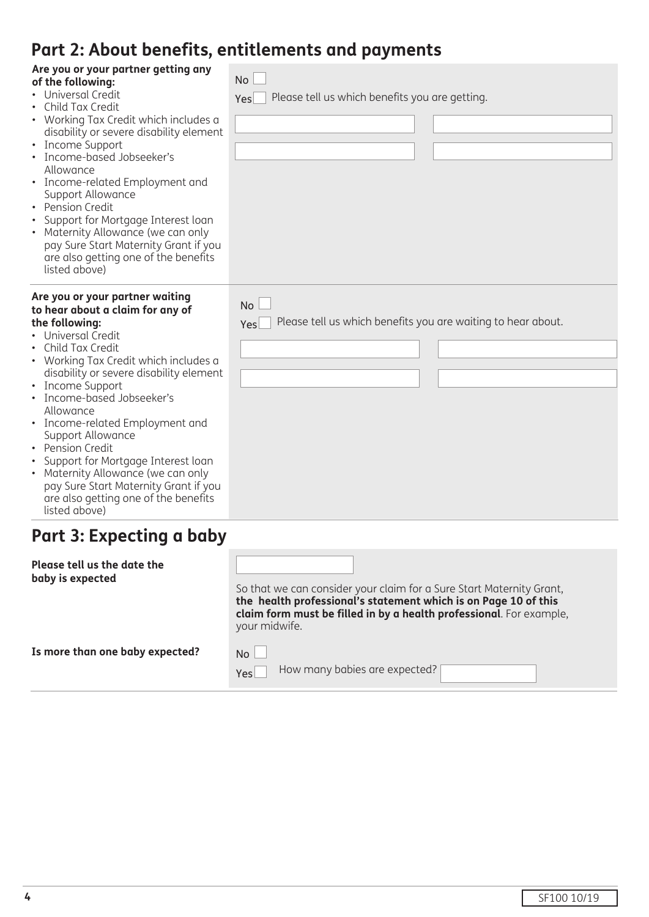# **Part 2: About benefits, entitlements and payments**

|                                                                                                                                                                                                                                                                                                                                                                                                                                                                                                                                            | TWI C. ADOUL DENENTO, CHERCHICHES QUA PUYINCHES                                  |
|--------------------------------------------------------------------------------------------------------------------------------------------------------------------------------------------------------------------------------------------------------------------------------------------------------------------------------------------------------------------------------------------------------------------------------------------------------------------------------------------------------------------------------------------|----------------------------------------------------------------------------------|
| Are you or your partner getting any<br>of the following:<br>Universal Credit<br>Child Tax Credit<br>• Working Tax Credit which includes a<br>disability or severe disability element<br>• Income Support<br>· Income-based Jobseeker's<br>Allowance<br>• Income-related Employment and<br>Support Allowance<br>• Pension Credit<br>Support for Mortgage Interest loan<br>Maternity Allowance (we can only<br>$\bullet$<br>pay Sure Start Maternity Grant if you<br>are also getting one of the benefits<br>listed above)                   | No<br>Please tell us which benefits you are getting.<br>Yes                      |
| Are you or your partner waiting<br>to hear about a claim for any of<br>the following:<br>• Universal Credit<br>Child Tax Credit<br>• Working Tax Credit which includes a<br>disability or severe disability element<br>• Income Support<br>· Income-based Jobseeker's<br>Allowance<br>• Income-related Employment and<br>Support Allowance<br>• Pension Credit<br>Support for Mortgage Interest loan<br>Maternity Allowance (we can only<br>pay Sure Start Maternity Grant if you<br>are also getting one of the benefits<br>listed above) | <b>No</b><br>Please tell us which benefits you are waiting to hear about.<br>Yes |

# **Part 3: Expecting a baby**

| Please tell us the date the<br>baby is expected | So that we can consider your claim for a Sure Start Maternity Grant,<br>the health professional's statement which is on Page 10 of this<br>claim form must be filled in by a health professional. For example,<br>your midwife. |
|-------------------------------------------------|---------------------------------------------------------------------------------------------------------------------------------------------------------------------------------------------------------------------------------|
| Is more than one baby expected?                 | No                                                                                                                                                                                                                              |

 $Yes$ How many babies are expected?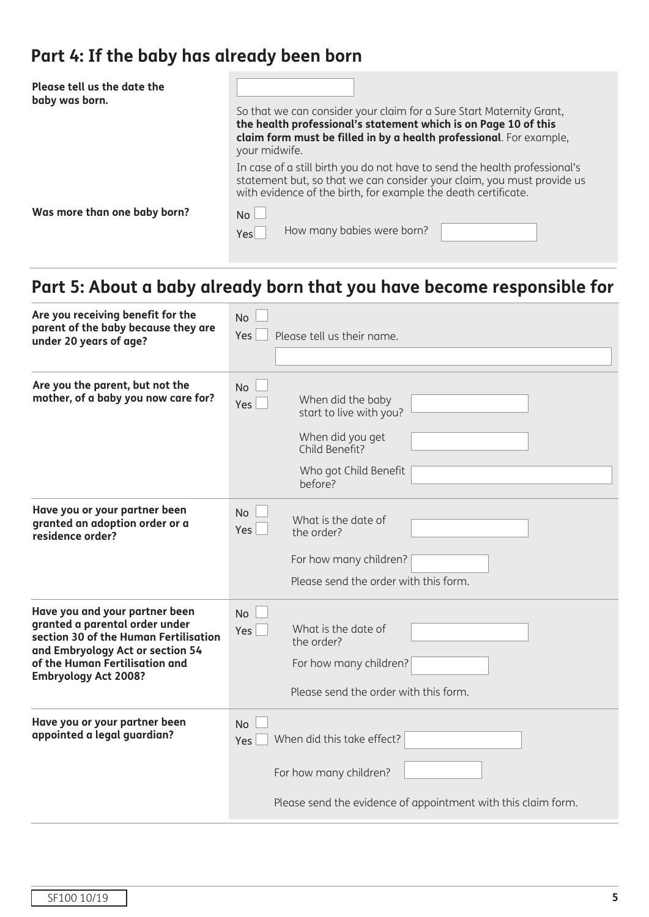# **Part 4: If the baby has already been born**

| Please tell us the date the<br>baby was born. | So that we can consider your claim for a Sure Start Maternity Grant,<br>the health professional's statement which is on Page 10 of this<br>claim form must be filled in by a health professional. For example,<br>your midwife. |  |  |
|-----------------------------------------------|---------------------------------------------------------------------------------------------------------------------------------------------------------------------------------------------------------------------------------|--|--|
|                                               | In case of a still birth you do not have to send the health professional's<br>statement but, so that we can consider your claim, you must provide us<br>with evidence of the birth, for example the death certificate.          |  |  |
| Was more than one baby born?                  | No<br>How many babies were born?<br>Yes                                                                                                                                                                                         |  |  |

# **Part 5: About a baby already born that you have become responsible for**

| Are you receiving benefit for the<br>parent of the baby because they are<br>under 20 years of age?                                                                                                             | <b>No</b><br>Yes<br>Please tell us their name.                                                                                               |
|----------------------------------------------------------------------------------------------------------------------------------------------------------------------------------------------------------------|----------------------------------------------------------------------------------------------------------------------------------------------|
| Are you the parent, but not the<br>mother, of a baby you now care for?                                                                                                                                         | <b>No</b><br>When did the baby<br>Yes  <br>start to live with you?<br>When did you get<br>Child Benefit?<br>Who got Child Benefit<br>before? |
| Have you or your partner been<br>granted an adoption order or a<br>residence order?                                                                                                                            | <b>No</b><br>What is the date of<br>Yes  <br>the order?<br>For how many children?<br>Please send the order with this form.                   |
| Have you and your partner been<br>granted a parental order under<br>section 30 of the Human Fertilisation<br>and Embryology Act or section 54<br>of the Human Fertilisation and<br><b>Embryology Act 2008?</b> | <b>No</b><br>What is the date of<br>Yes <sup> </sup><br>the order?<br>For how many children?<br>Please send the order with this form.        |
| Have you or your partner been<br>appointed a legal guardian?                                                                                                                                                   | <b>No</b><br>When did this take effect?<br>Yes<br>For how many children?<br>Please send the evidence of appointment with this claim form.    |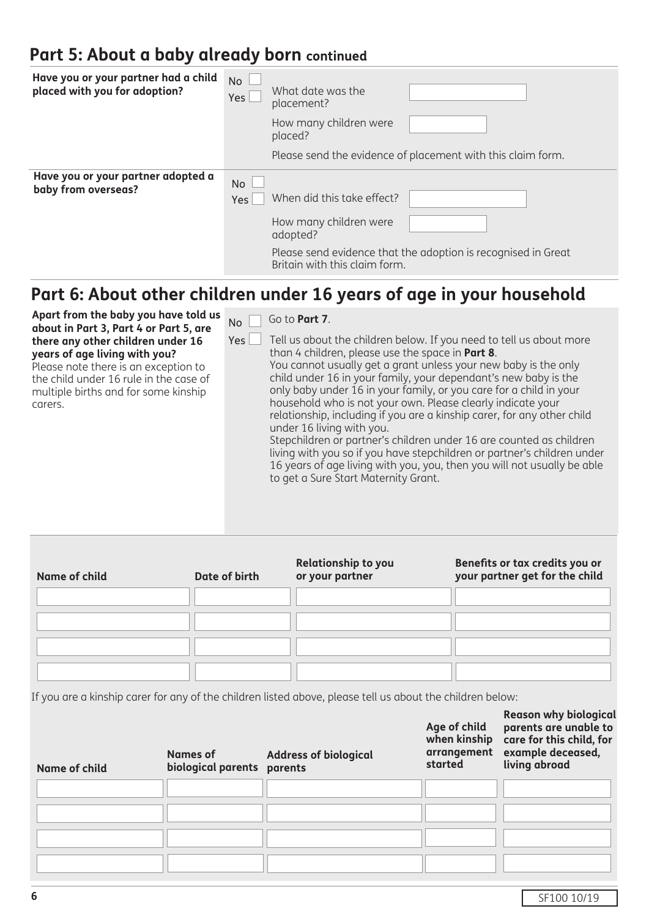# **Part 5: About a baby already born continued**

| Have you or your partner had a child<br>placed with you for adoption? | <b>No</b><br>What date was the<br>Yes  <br>placement?<br>How many children were<br>placed?<br>Please send the evidence of placement with this claim form.                                |  |
|-----------------------------------------------------------------------|------------------------------------------------------------------------------------------------------------------------------------------------------------------------------------------|--|
| Have you or your partner adopted a<br>baby from overseas?             | <b>No</b><br>When did this take effect?<br>Yes  <br>How many children were<br>adopted?<br>Please send evidence that the adoption is recognised in Great<br>Britain with this claim form. |  |

# **Part 6: About other children under 16 years of age in your household**

**Apart from the baby you have told us about in Part 3, Part 4 or Part 5, are there any other children under 16 years of age living with you?** Please note there is an exception to the child under 16 rule in the case of multiple births and for some kinship carers. Yes  $N<sub>0</sub>$  Go to **Part 7**. Tell us about the children below. If you need to tell us about more than 4 children, please use the space in **Part 8**. You cannot usually get a grant unless your new baby is the only child under 16 in your family, your dependant's new baby is the only baby under 16 in your family, or you care for a child in your household who is not your own. Please clearly indicate your relationship, including if you are a kinship carer, for any other child under 16 living with you. Stepchildren or partner's children under 16 are counted as children living with you so if you have stepchildren or partner's children under 16 years of age living with you, you, then you will not usually be able to get a Sure Start Maternity Grant.

| Name of child | Date of birth | <b>Relationship to you</b><br>or your partner | Benefits or tax credits you or<br>your partner get for the child |
|---------------|---------------|-----------------------------------------------|------------------------------------------------------------------|
|               |               |                                               |                                                                  |
|               |               |                                               |                                                                  |

If you are a kinship carer for any of the children listed above, please tell us about the children below:

| <b>Name of child</b> | Names of<br>biological parents parents | <b>Address of biological</b> | Age of child<br>arrangement<br>started | i<br>parents are unable to<br>when kinship care for this child, for<br>example deceased,<br>living abroad |
|----------------------|----------------------------------------|------------------------------|----------------------------------------|-----------------------------------------------------------------------------------------------------------|
|                      |                                        |                              |                                        |                                                                                                           |
|                      |                                        |                              |                                        |                                                                                                           |
|                      |                                        |                              |                                        |                                                                                                           |
|                      |                                        |                              |                                        |                                                                                                           |

SF100 10/19

**Reason why biological**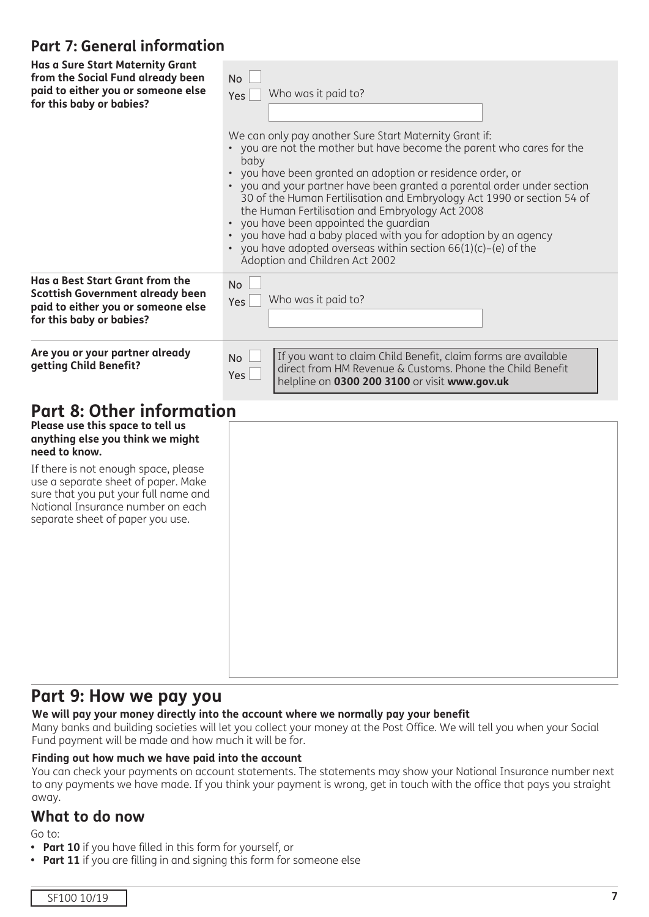## **Part 7: General information**

| <b>Has a Sure Start Maternity Grant</b><br>from the Social Fund already been<br>paid to either you or someone else<br>for this baby or babies?                                                                                                                                                                            | <b>No</b><br>Who was it paid to?<br>Yes<br>We can only pay another Sure Start Maternity Grant if:<br>• you are not the mother but have become the parent who cares for the<br>baby<br>you have been granted an adoption or residence order, or<br>• you and your partner have been granted a parental order under section<br>30 of the Human Fertilisation and Embryology Act 1990 or section 54 of<br>the Human Fertilisation and Embryology Act 2008<br>you have been appointed the guardian<br>$\bullet$<br>you have had a baby placed with you for adoption by an agency<br>• you have adopted overseas within section $66(1)(c)$ -(e) of the<br>Adoption and Children Act 2002 |
|---------------------------------------------------------------------------------------------------------------------------------------------------------------------------------------------------------------------------------------------------------------------------------------------------------------------------|-------------------------------------------------------------------------------------------------------------------------------------------------------------------------------------------------------------------------------------------------------------------------------------------------------------------------------------------------------------------------------------------------------------------------------------------------------------------------------------------------------------------------------------------------------------------------------------------------------------------------------------------------------------------------------------|
| Has a Best Start Grant from the<br><b>Scottish Government already been</b><br>paid to either you or someone else<br>for this baby or babies?                                                                                                                                                                              | <b>No</b><br>Who was it paid to?<br>Yes                                                                                                                                                                                                                                                                                                                                                                                                                                                                                                                                                                                                                                             |
| Are you or your partner already<br>getting Child Benefit?                                                                                                                                                                                                                                                                 | If you want to claim Child Benefit, claim forms are available<br><b>No</b><br>direct from HM Revenue & Customs. Phone the Child Benefit<br>Yes<br>helpline on 0300 200 3100 or visit www.gov.uk                                                                                                                                                                                                                                                                                                                                                                                                                                                                                     |
| <b>Part 8: Other information</b><br>Please use this space to tell us<br>anything else you think we might<br>need to know.<br>If there is not enough space, please<br>use a separate sheet of paper. Make<br>sure that you put your full name and<br>National Insurance number on each<br>separate sheet of paper you use. |                                                                                                                                                                                                                                                                                                                                                                                                                                                                                                                                                                                                                                                                                     |

# **Part 9: How we pay you**

#### **We will pay your money directly into the account where we normally pay your benefit**

Many banks and building societies will let you collect your money at the Post Office. We will tell you when your Social Fund payment will be made and how much it will be for.

#### **Finding out how much we have paid into the account**

You can check your payments on account statements. The statements may show your National Insurance number next to any payments we have made. If you think your payment is wrong, get in touch with the office that pays you straight away.

#### **What to do now**

Go to:

- **• Part 10** if you have filled in this form for yourself, or
- **• Part 11** if you are filling in and signing this form for someone else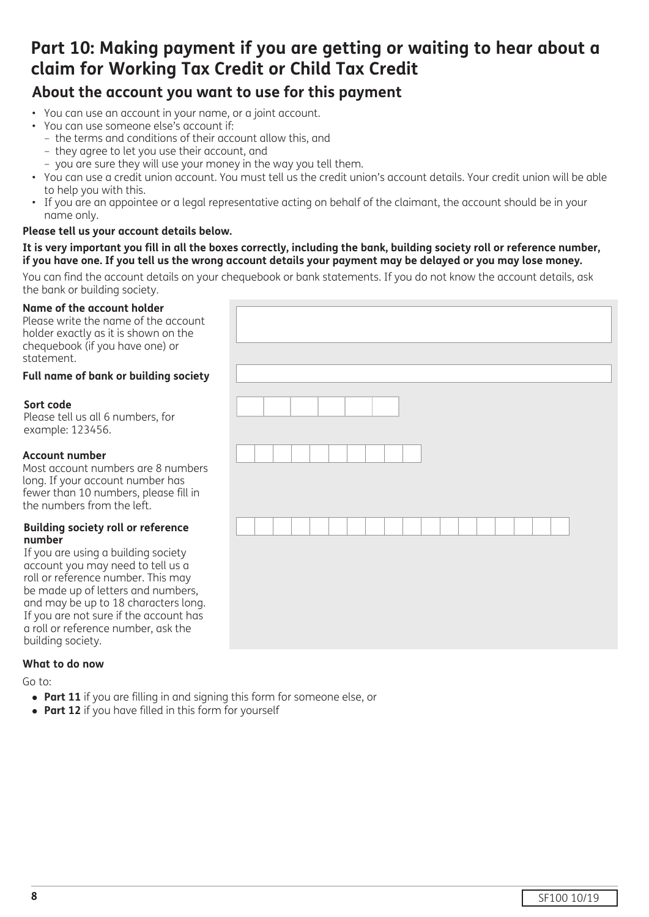# **Part 10: Making payment if you are getting or waiting to hear about a claim for Working Tax Credit or Child Tax Credit**

# **About the account you want to use for this payment**

- You can use an account in your name, or a joint account.
- You can use someone else's account if:
	- the terms and conditions of their account allow this, and
	- they agree to let you use their account, and
	- you are sure they will use your money in the way you tell them.
- You can use a credit union account. You must tell us the credit union's account details. Your credit union will be able to help you with this.
- If you are an appointee or a legal representative acting on behalf of the claimant, the account should be in your name only.

#### **Please tell us your account details below.**

#### **It is very important you fill in all the boxes correctly, including the bank, building society roll or reference number, if you have one. If you tell us the wrong account details your payment may be delayed or you may lose money.**

You can find the account details on your chequebook or bank statements. If you do not know the account details, ask the bank or building society.

#### **Name of the account holder**

Please write the name of the account holder exactly as it is shown on the chequebook (if you have one) or statement.

#### **Full name of bank or building society**

#### **Sort code**

Please tell us all 6 numbers, for example: 123456.

#### **Account number**

Most account numbers are 8 numbers long. If your account number has fewer than 10 numbers, please fill in the numbers from the left.

#### **Building society roll or reference number**

If you are using a building society account you may need to tell us a roll or reference number. This may be made up of letters and numbers, and may be up to 18 characters long. If you are not sure if the account has a roll or reference number, ask the building society.

#### **What to do now**

Go to:

- **Part 11** if you are filling in and signing this form for someone else, or
- **Part 12** if you have filled in this form for yourself

| . |  |  |
|---|--|--|
|   |  |  |
|   |  |  |
|   |  |  |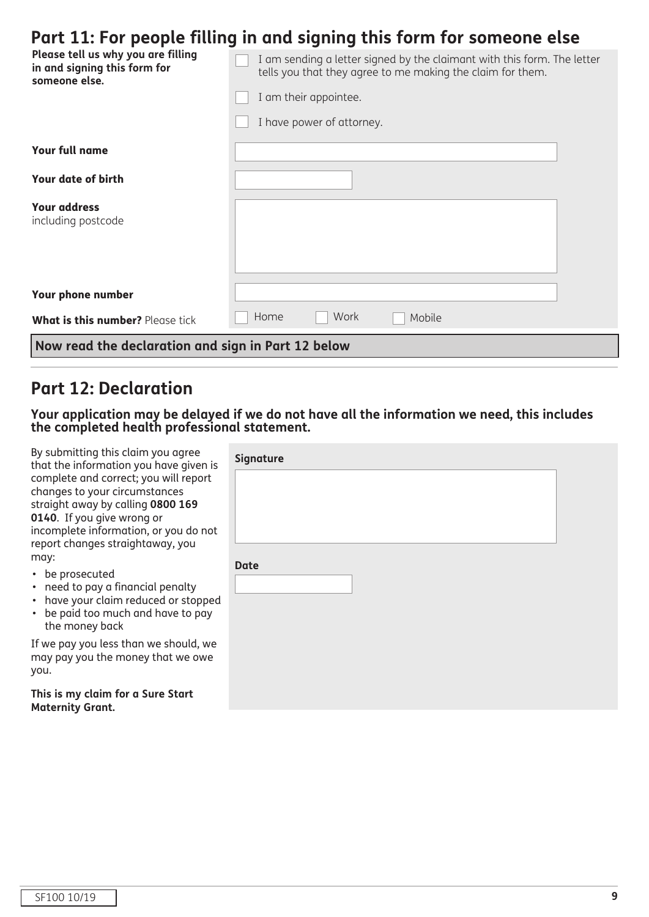# **Part 11: For people filling in and signing this form for someone else**

| Please tell us why you are filling<br>in and signing this form for<br>someone else. | I am sending a letter signed by the claimant with this form. The letter<br>tells you that they agree to me making the claim for them. |  |
|-------------------------------------------------------------------------------------|---------------------------------------------------------------------------------------------------------------------------------------|--|
|                                                                                     | I am their appointee.                                                                                                                 |  |
|                                                                                     | I have power of attorney.                                                                                                             |  |
| <b>Your full name</b>                                                               |                                                                                                                                       |  |
| <b>Your date of birth</b>                                                           |                                                                                                                                       |  |
| <b>Your address</b><br>including postcode                                           |                                                                                                                                       |  |
| Your phone number                                                                   |                                                                                                                                       |  |
| What is this number? Please tick                                                    | Work<br>Home<br>Mobile                                                                                                                |  |
| Now read the declaration and sign in Part 12 below                                  |                                                                                                                                       |  |

# **Part 12: Declaration**

**Your application may be delayed if we do not have all the information we need, this includes the completed health professional statement.**

By submitting this claim you agree that the information you have given complete and correct; you will report changes to your circumstances straight away by calling **0800 169 0140**. If you give wrong or incomplete information, or you do no report changes straightaway, you may:

• be prosecuted

- need to pay a financial penalty
- have your claim reduced or stoppe
- be paid too much and have to pay the money back

If we pay you less than we should, we may pay you the money that we owe you.

**This is my claim for a Sure Start Maternity Grant.**

| is             | Signature   |  |
|----------------|-------------|--|
|                |             |  |
|                |             |  |
| эt             |             |  |
|                | <b>Date</b> |  |
|                |             |  |
| ed             |             |  |
| $\overline{1}$ |             |  |
| e              |             |  |
| e              |             |  |
|                |             |  |
|                |             |  |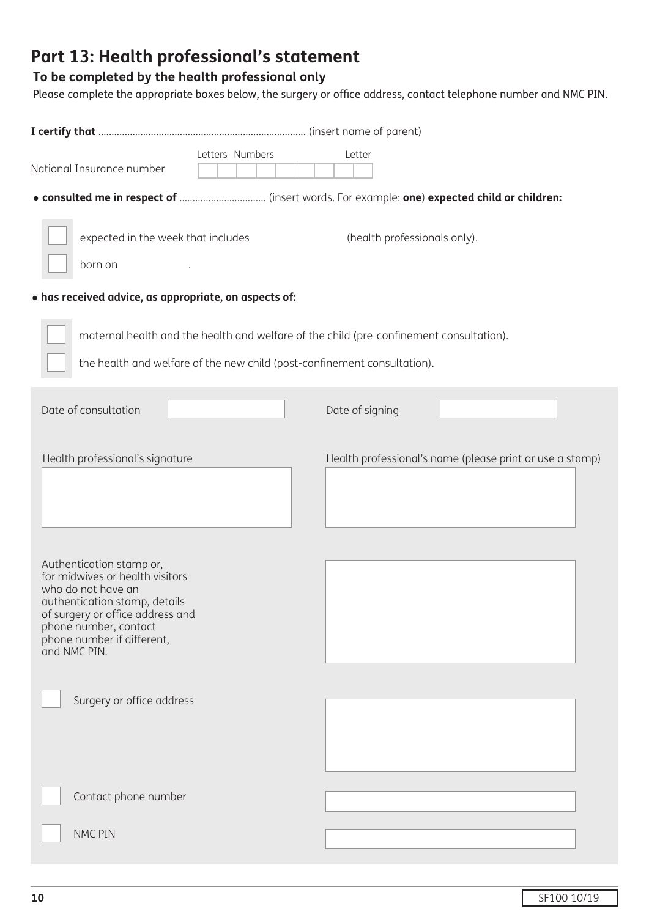# **Part 13: Health professional's statement**

### **To be completed by the health professional only**

Please complete the appropriate boxes below, the surgery or office address, contact telephone number and NMC PIN.

|                                                                                                                                                                                                                               | Letters Numbers                                                                         | Letter                       |                                                          |
|-------------------------------------------------------------------------------------------------------------------------------------------------------------------------------------------------------------------------------|-----------------------------------------------------------------------------------------|------------------------------|----------------------------------------------------------|
| National Insurance number                                                                                                                                                                                                     |                                                                                         |                              |                                                          |
|                                                                                                                                                                                                                               |                                                                                         |                              |                                                          |
| expected in the week that includes                                                                                                                                                                                            |                                                                                         | (health professionals only). |                                                          |
| born on                                                                                                                                                                                                                       |                                                                                         |                              |                                                          |
| · has received advice, as appropriate, on aspects of:                                                                                                                                                                         |                                                                                         |                              |                                                          |
|                                                                                                                                                                                                                               | maternal health and the health and welfare of the child (pre-confinement consultation). |                              |                                                          |
|                                                                                                                                                                                                                               | the health and welfare of the new child (post-confinement consultation).                |                              |                                                          |
| Date of consultation                                                                                                                                                                                                          |                                                                                         | Date of signing              |                                                          |
| Health professional's signature                                                                                                                                                                                               |                                                                                         |                              | Health professional's name (please print or use a stamp) |
| Authentication stamp or,<br>for midwives or health visitors<br>who do not have an<br>authentication stamp, details<br>of surgery or office address and<br>phone number, contact<br>phone number if different,<br>and NMC PIN. |                                                                                         |                              |                                                          |
| Surgery or office address                                                                                                                                                                                                     |                                                                                         |                              |                                                          |
| Contact phone number                                                                                                                                                                                                          |                                                                                         |                              |                                                          |
| NMC PIN                                                                                                                                                                                                                       |                                                                                         |                              |                                                          |